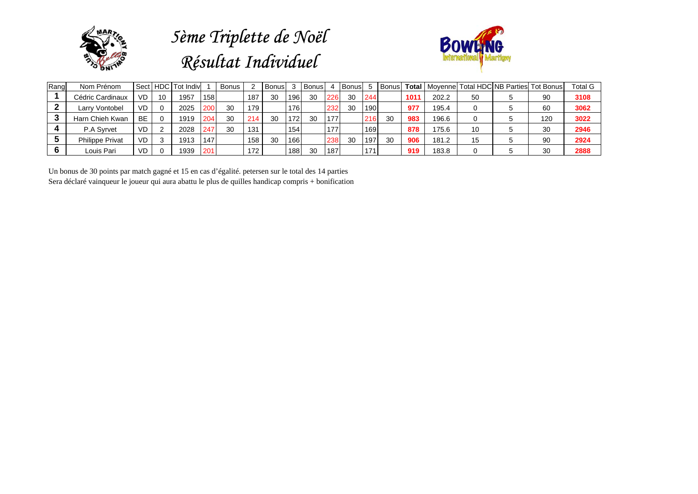

## *5ème Triplette de Noël Résultat Individuel*



| Rang | Nom Prénom             |           |    | Sect HDC Tot Indiv |            | <b>Bonus</b> |     | Bonus |     | l Bonus |     | I Bonusl |     | <b>Bonus</b> |      |       |    | <b>Total   Moyennel Total HDC NB Parties Tot Bonus  </b> | <b>Total G</b> |
|------|------------------------|-----------|----|--------------------|------------|--------------|-----|-------|-----|---------|-----|----------|-----|--------------|------|-------|----|----------------------------------------------------------|----------------|
|      | Cédric Cardinaux       | VD.       | 10 | 1957               | 158        |              | 187 | -30   | 196 | 30      | 226 | 30       | 244 |              | 1011 | 202.2 | 50 | 90                                                       | 3108           |
|      | Larry Vontobel         | VD        |    | 2025               | <b>200</b> | 30           | 179 |       | 176 |         | 232 | 30       | 190 |              | 977  | 195.4 |    | 60                                                       | 3062           |
|      | Harn Chieh Kwan        | <b>BE</b> |    | 1919               | 204        | 30           | 214 | 30    | 172 | 30      | 177 |          | 216 | 30           | 983  | 196.6 |    | 120                                                      | 3022           |
|      | P.A Syrvet             | <b>VD</b> |    | 2028               | 247        | 30           | 131 |       | 154 |         | 177 |          | 169 |              | 878  | 175.6 | 10 | 30                                                       | 2946           |
|      | <b>Philippe Privat</b> | <b>VD</b> |    | 1913               | 147        |              | 158 | 30    | 166 |         | 238 | 30       | 197 | 30           | 906  | 181.2 | 15 | 90                                                       | 2924           |
|      | Louis Pari             | <b>VD</b> |    | 1939               | 201        |              | 172 |       | 188 | 30      | 187 |          | 171 |              | 919  | 183.8 |    | 30                                                       | 2888           |

Un bonus de 30 points par match gagné et 15 en cas d'égalité. petersen sur le total des 14 parties Sera déclaré vainqueur le joueur qui aura abattu le plus de quilles handicap compris + bonification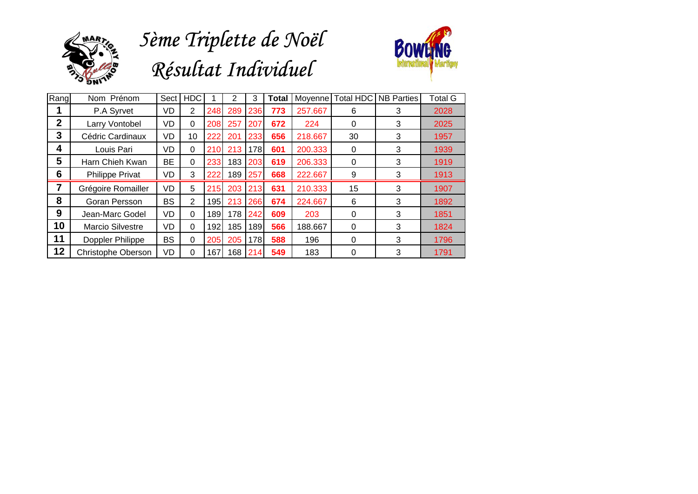

## *5ème Triplette de Noël Résultat Individuel*



| Rang        | Nom Prénom         | Sect      | <b>HDC</b> |     | $\overline{2}$ | 3   | Total | Moyenne | <b>Total HDC</b> | <b>NB Parties</b> | <b>Total G</b> |
|-------------|--------------------|-----------|------------|-----|----------------|-----|-------|---------|------------------|-------------------|----------------|
|             | P.A Syrvet         | VD        | 2          | 248 | 289            | 236 | 773   | 257.667 | 6                | 3                 | 2028           |
| $\mathbf 2$ | Larry Vontobel     | VD        | 0          | 208 | 257            | 207 | 672   | 224     | 0                | 3                 | 2025           |
| 3           | Cédric Cardinaux   | VD        | 10         | 222 | 201            | 233 | 656   | 218.667 | 30               | 3                 | 1957           |
| 4           | Louis Pari         | VD        | 0          | 210 | 213            | 178 | 601   | 200.333 | 0                | 3                 | 1939           |
| 5           | Harn Chieh Kwan    | <b>BE</b> | 0          | 233 | 183            | 203 | 619   | 206.333 | 0                | 3                 | 1919           |
| 6           | Philippe Privat    | VD        | 3          | 222 | 189            | 257 | 668   | 222.667 | 9                | 3                 | 1913           |
|             | Grégoire Romailler | VD        | 5          | 215 | 203            | 213 | 631   | 210.333 | 15               | 3                 | 1907           |
| 8           | Goran Persson      | <b>BS</b> | 2          | 195 | 213            | 266 | 674   | 224.667 | 6                | 3                 | 1892           |
| 9           | Jean-Marc Godel    | VD        | $\Omega$   | 189 | 178            | 242 | 609   | 203     | 0                | 3                 | 1851           |
| 10          | Marcio Silvestre   | VD        | 0          | 192 | 185            | 189 | 566   | 188.667 | 0                | 3                 | 1824           |
| 11          | Doppler Philippe   | <b>BS</b> | 0          | 205 | 205            | 178 | 588   | 196     | 0                | 3                 | 1796           |
| 12          | Christophe Oberson | VD        | $\Omega$   | 167 | 168            | 214 | 549   | 183     | 0                | 3                 | 1791           |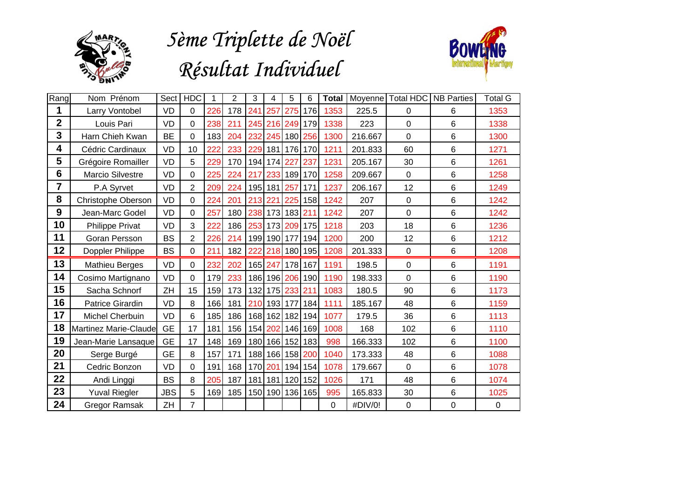

## *Résultat Individuel 5ème Triplette de Noël*



| Rang             | Nom Prénom              | Sect       | <b>HDC</b>     |      | $\overline{2}$ | 3       | 4           | 5           | 6               | Total    |         | Moyenne Total HDC | <b>NB Parties</b> | Total G     |
|------------------|-------------------------|------------|----------------|------|----------------|---------|-------------|-------------|-----------------|----------|---------|-------------------|-------------------|-------------|
| 1                | Larry Vontobel          | <b>VD</b>  | 0              | 226  | 178            | 241     | 257         | 275         | 176             | 1353     | 225.5   | $\Omega$          | 6                 | 1353        |
| $\overline{2}$   | Louis Pari              | <b>VD</b>  | 0              | 238  | 211            |         |             |             | 245 216 249 179 | 1338     | 223     | 0                 | 6                 | 1338        |
| 3                | Harn Chieh Kwan         | <b>BE</b>  | 0              | 183  | 204            | 232     |             |             | 245 180 256     | 1300     | 216.667 | $\mathbf 0$       | $\,6\,$           | 1300        |
| 4                | Cédric Cardinaux        | <b>VD</b>  | 10             | 222  | 233            |         |             |             | 229 181 176 170 | 1211     | 201.833 | 60                | 6                 | 1271        |
| 5                | Grégoire Romailler      | <b>VD</b>  | 5              | 229  | 170            |         |             | 194 174 227 | 237             | 1231     | 205.167 | 30                | 6                 | 1261        |
| $6\phantom{1}$   | Marcio Silvestre        | <b>VD</b>  | 0              | 225  | 224            |         |             |             | 217 233 189 170 | 1258     | 209.667 | $\mathbf 0$       | $\,6\,$           | 1258        |
| 7                | P.A Syrvet              | VD         | 2              | 209  | 224            |         | 195 181     | 257         | 171             | 1237     | 206.167 | 12                | $\,6\,$           | 1249        |
| 8                | Christophe Oberson      | VD         | 0              | 224  | 201            |         | 213 221     | 225         | 158             | 1242     | 207     | $\mathbf 0$       | 6                 | 1242        |
| $\boldsymbol{9}$ | Jean-Marc Godel         | <b>VD</b>  | 0              | 257  | 180            |         |             | 238 173 183 | 211             | 1242     | 207     | 0                 | 6                 | 1242        |
| 10               | Philippe Privat         | <b>VD</b>  | 3              | 222  | 186            |         |             |             | 253 173 209 175 | 1218     | 203     | 18                | $\,6\,$           | 1236        |
| 11               | Goran Persson           | <b>BS</b>  | 2              | 2261 | 214            |         | 199 190 177 |             | 194             | 1200     | 200     | 12                | 6                 | 1212        |
| 12               | Doppler Philippe        | <b>BS</b>  | 0              | 211  | 182            | 222     |             |             | 218 180 195     | 1208     | 201.333 | $\mathbf 0$       | $\,6\,$           | 1208        |
| 13               | <b>Mathieu Berges</b>   | <b>VD</b>  | 0              | 232  | 202            | 165     | 247         | 178         | 167             | 1191     | 198.5   | $\overline{0}$    | 6                 | 1191        |
| 14               | Cosimo Martignano       | VD         | 0              | 179  | 233            | 186     |             | 196 206     | 190             | 1190     | 198.333 | $\overline{0}$    | 6                 | 1190        |
| 15               | Sacha Schnorf           | ZH         | 15             | 159  | 173            |         | 132 175     | 233 211     |                 | 1083     | 180.5   | 90                | 6                 | 1173        |
| 16               | <b>Patrice Girardin</b> | <b>VD</b>  | 8              | 166  | 181            | 210     | 193         | 177         | 184             | 1111     | 185.167 | 48                | 6                 | 1159        |
| 17               | Michel Cherbuin         | <b>VD</b>  | 6              | 185  | 186            | 168     | 162         | 182         | 194             | 1077     | 179.5   | 36                | 6                 | 1113        |
| 18               | Martinez Marie-Claude   | <b>GE</b>  | 17             | 181  | 156            | 154     | 202         | 146         | 169             | 1008     | 168     | 102               | 6                 | 1110        |
| 19               | Jean-Marie Lansaque     | <b>GE</b>  | 17             | 148  | 169            | 180     | 166         | 152         | 183             | 998      | 166.333 | 102               | 6                 | 1100        |
| 20               | Serge Burgé             | <b>GE</b>  | 8              | 157  | 171            | 188     | 166         | 158         | 200             | 1040     | 173.333 | 48                | 6                 | 1088        |
| 21               | Cedric Bonzon           | <b>VD</b>  | 0              | 191  | 168            | 170 201 |             | 194         | 154             | 1078     | 179.667 | $\overline{0}$    | 6                 | 1078        |
| 22               | Andi Linggi             | <b>BS</b>  | 8              | 205  | 187            | 181     | 181         | 120         | 152             | 1026     | 171     | 48                | $\,6\,$           | 1074        |
| 23               | <b>Yuval Riegler</b>    | <b>JBS</b> | 5              | 169  | 185            |         |             | 150 190 136 | 165             | 995      | 165.833 | 30                | $\,6\,$           | 1025        |
| 24               | <b>Gregor Ramsak</b>    | ZH         | $\overline{7}$ |      |                |         |             |             |                 | $\Omega$ | #DIV/0! | $\mathbf 0$       | $\mathbf 0$       | $\mathbf 0$ |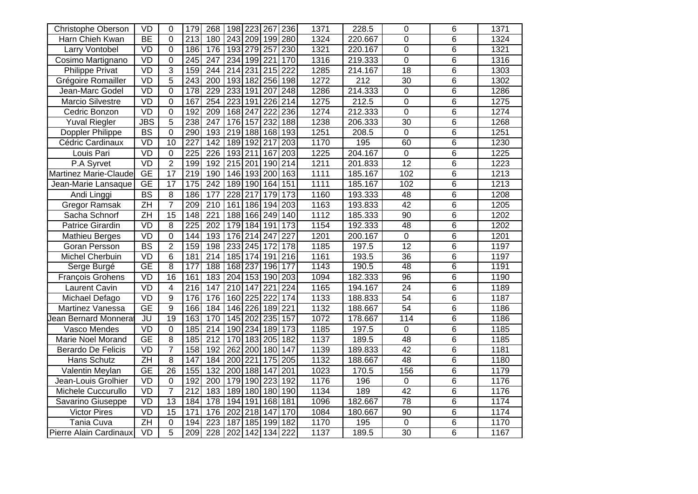| <b>Christophe Oberson</b>    | $\overline{VD}$          | 0               | 179               | 268              | 198              | $\overline{223}$ | 267              | 236              | 1371 | 228.5   | $\mathbf 0$     | 6              | 1371 |
|------------------------------|--------------------------|-----------------|-------------------|------------------|------------------|------------------|------------------|------------------|------|---------|-----------------|----------------|------|
| Harn Chieh Kwan              | BE                       | 0               | 213               | 180              |                  | 243 209 199      |                  | 280              | 1324 | 220.667 | 0               | $\overline{6}$ | 1324 |
| Larry Vontobel               | VD                       | 0               | 186               | 176              | 193              | 279              | 257              | 230              | 1321 | 220.167 | $\overline{0}$  | $\overline{6}$ | 1321 |
| Cosimo Martignano            | VD                       | 0               | 245               | $\overline{247}$ | 234              | 199              | 221              | 170              | 1316 | 219.333 | $\mathbf 0$     | 6              | 1316 |
| <b>Philippe Privat</b>       | VD                       | 3               | 159               | 244              | $\overline{214}$ | 231              | $\overline{215}$ | $\overline{222}$ | 1285 | 214.167 | $\overline{18}$ | 6              | 1303 |
| Grégoire Romailler           | VD                       | 5               | 243               | $\overline{200}$ | 193              | 182              | 256              | 198              | 1272 | 212     | 30              | 6              | 1302 |
| Jean-Marc Godel              | VD                       | 0               | 178               | 229              | 233              | 191              | 207              | 248              | 1286 | 214.333 | $\mathbf 0$     | 6              | 1286 |
| <b>Marcio Silvestre</b>      | VD                       | 0               | 167               | 254              | $\overline{223}$ | 191              | 226              | 214              | 1275 | 212.5   | $\mathbf 0$     | $\overline{6}$ | 1275 |
| Cedric Bonzon                | VD                       | 0               | 192               | $\overline{209}$ | 168              | 247              | $\overline{222}$ | 236              | 1274 | 212.333 | $\overline{0}$  | $\overline{6}$ | 1274 |
| <b>Yuval Riegler</b>         | <b>JBS</b>               | $\overline{5}$  | 238               | 247              | 176              | 157              | 232              | 188              | 1238 | 206.333 | $\overline{30}$ | $\overline{6}$ | 1268 |
| Doppler Philippe             | $\overline{BS}$          | $\overline{0}$  | 290               | 193              | $\overline{219}$ | 188              | 168              | 193              | 1251 | 208.5   | $\overline{0}$  | 6              | 1251 |
| Cédric Cardinaux             | VD                       | $\overline{10}$ | 227               | 142              | 189              | 192              | 217              | $\overline{203}$ | 1170 | 195     | 60              | $\overline{6}$ | 1230 |
| Louis Pari                   | VD                       | 0               | 225               | 226              | 193              | 211              | 167              | 203              | 1225 | 204.167 | $\mathbf 0$     | 6              | 1225 |
| P.A Syrvet                   | VD                       | $\overline{2}$  | 199               | 192              | 215              | 201              | 190              | $\overline{214}$ | 1211 | 201.833 | $\overline{12}$ | 6              | 1223 |
| <b>Martinez Marie-Claude</b> | GE                       | $\overline{17}$ | 219               | 190              | 146              | 193              | 200              | 163              | 1111 | 185.167 | 102             | $\overline{6}$ | 1213 |
| Jean-Marie Lansaque          | $\overline{GE}$          | $\overline{17}$ | $\frac{175}{175}$ | $\overline{242}$ | 189              | 190              | 164              | 151              | 1111 | 185.167 | 102             | $\overline{6}$ | 1213 |
| Andi Linggi                  | $\overline{\mathsf{BS}}$ | 8               | 186               | 177              | 228              | $\overline{217}$ | 179              | 173              | 1160 | 193.333 | $\overline{48}$ | $\overline{6}$ | 1208 |
| <b>Gregor Ramsak</b>         | $\overline{ZH}$          | $\overline{7}$  | 209               | $\overline{210}$ | 161              | 186              | 194              | 203              | 1163 | 193.833 | 42              | 6              | 1205 |
| Sacha Schnorf                | ZH                       | $\overline{15}$ | 148               | $\overline{221}$ | 188              | 166              | 249              | 140              | 1112 | 185.333 | 90              | 6              | 1202 |
| <b>Patrice Girardin</b>      | VD                       | 8               | $\overline{225}$  | $\overline{202}$ | 179              | 184              | 191              | 173              | 1154 | 192.333 | $\overline{48}$ | 6              | 1202 |
| <b>Mathieu Berges</b>        | VD                       | 0               | 144               | 193              | 176              | 214              | 247              | $\overline{227}$ | 1201 | 200.167 | $\mathbf 0$     | $\overline{6}$ | 1201 |
| Goran Persson                | $\overline{\text{BS}}$   | $\overline{2}$  | 159               | 198              | 233              | 245              | 172              | 178              | 1185 | 197.5   | 12              | 6              | 1197 |
| <b>Michel Cherbuin</b>       | VD                       | 6               | 181               | $\overline{214}$ | 185              | 174              | 191              | 216              | 1161 | 193.5   | $\overline{36}$ | $\overline{6}$ | 1197 |
| Serge Burgé                  | <b>GE</b>                | $\overline{8}$  | 177               | 188              | 168              | 237              | 196              | 177              | 1143 | 190.5   | 48              | $\overline{6}$ | 1191 |
| <b>François Grohens</b>      | <b>VD</b>                | 16              | 161               | 183              | 204              | 153              | 190              | 203              | 1094 | 182.333 | 96              | 6              | 1190 |
| <b>Laurent Cavin</b>         | VD                       | 4               | $\overline{216}$  | 147              | $\overline{210}$ | 147              | 221              | 224              | 1165 | 194.167 | $\overline{24}$ | $\overline{6}$ | 1189 |
| Michael Defago               | VD                       | 9               | 176               | 176              | 160              | 225              | $\overline{222}$ | 174              | 1133 | 188.833 | $\overline{54}$ | 6              | 1187 |
| Martinez Vanessa             | $\overline{GE}$          | 9               | 166               | 184              | 146              | 226              | 189              | $\overline{221}$ | 1132 | 188.667 | $\overline{54}$ | 6              | 1186 |
| Jean Bernard Monnera         | JU                       | 19              | 163               | 170              | 145              | 202              | 235              | 157              | 1072 | 178.667 | 114             | 6              | 1186 |
| Vasco Mendes                 | VD                       | 0               | 185               | 214              | 190              | 234              | 189              | 173              | 1185 | 197.5   | $\mathbf 0$     | $\overline{6}$ | 1185 |
| Marie Noel Morand            | $\overline{GE}$          | $\overline{8}$  | 185               | 212              | 170              | 183              | $\overline{205}$ | 182              | 1137 | 189.5   | 48              | $\overline{6}$ | 1185 |
| <b>Berardo De Felicis</b>    | VD                       | $\overline{7}$  | 158               | 192              | $\overline{262}$ | $\overline{200}$ | 180              | 147              | 1139 | 189.833 | 42              | $\overline{6}$ | 1181 |
| Hans Schutz                  | $\overline{ZH}$          | 8               | 147               | 184              | $\overline{200}$ | 221              | 175              | 205              | 1132 | 188.667 | 48              | $\overline{6}$ | 1180 |
| Valentin Meylan              | <b>GE</b>                | $\overline{26}$ | 155               | $\overline{132}$ | $\overline{200}$ | 188              | 147              | $\overline{201}$ | 1023 | 170.5   | 156             | 6              | 1179 |
| Jean-Louis Grolhier          | <b>VD</b>                | 0               | 192               | 200              | 179              | 190              | 223              | 192              | 1176 | 196     | $\pmb{0}$       | 6              | 1176 |
| Michele Cuccurullo           | VD                       | $\overline{7}$  | 212               | 183              | 189              | 180              | 180              | 190              | 1134 | 189     | 42              | 6              | 1176 |
| Savarino Giuseppe            | VD                       | 13              | 184               | 178              | 194              | 191              | 168              | 181              | 1096 | 182.667 | 78              | 6              | 1174 |
| <b>Victor Pires</b>          | VD                       | $\overline{15}$ | 171               | 176              | $\overline{202}$ | $\overline{218}$ | 147              | 170              | 1084 | 180.667 | $\overline{90}$ | $\overline{6}$ | 1174 |
| Tania Cuva                   | $\overline{ZH}$          | 0               | 194               | $\overline{223}$ | 187              | 185              | 199              | 182              | 1170 | 195     | $\mathsf 0$     | 6              | 1170 |
| Pierre Alain Cardinaux       | VD                       | $\overline{5}$  | 209               | 228              | $\overline{202}$ | $\overline{142}$ | 134              | 222              | 1137 | 189.5   | $\overline{30}$ | $\overline{6}$ | 1167 |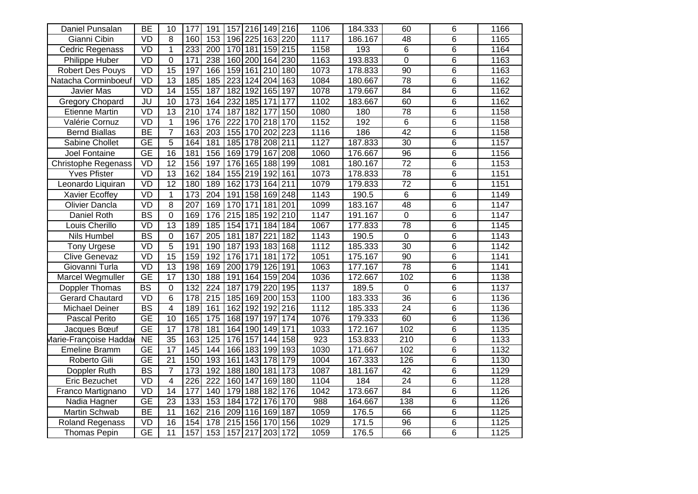| Daniel Punsalan            | BE                                | $\overline{10}$ | 177              | 191              | 157              | 216              | 149              | 216              | 1106               | 184.333 | 60               | 6              | 1166 |
|----------------------------|-----------------------------------|-----------------|------------------|------------------|------------------|------------------|------------------|------------------|--------------------|---------|------------------|----------------|------|
| Gianni Cibin               | $\overline{VD}$                   | 8               | 160              | 153              |                  | 196 225 163 220  |                  |                  | 1117               | 186.167 | $\overline{48}$  | 6              | 1165 |
| <b>Cedric Regenass</b>     | VD                                | 1               | 233              | $\overline{200}$ | 170              | 181              | 159              | 215              | 1158               | 193     | $\overline{6}$   | $\overline{6}$ | 1164 |
| Philippe Huber             | VD                                | 0               | 171              | 238              | 160              | 200              | 164              | 230              | 1163               | 193.833 | $\overline{0}$   | 6              | 1163 |
| <b>Robert Des Pouys</b>    | VD                                | $\overline{15}$ | 197              | 166              | 159              | 161              | $\overline{210}$ | 180              | 1073               | 178.833 | $\overline{90}$  | 6              | 1163 |
| Natacha Corminboeuf        | VD                                | 13              | 185              | 185              | 223              | 124              | 204              | 163              | 1084               | 180.667 | 78               | $\overline{6}$ | 1162 |
| <b>Javier Mas</b>          | VD                                | 14              | 155              | 187              | 182              | 192              | 165              | 197              | 1078               | 179.667 | 84               | 6              | 1162 |
| <b>Gregory Chopard</b>     | $\overline{\mathsf{J}\mathsf{U}}$ | 10              | 173              | 164              | 232              | 185              | 171              | 177              | 1102               | 183.667 | 60               | $\overline{6}$ | 1162 |
| <b>Etienne Martin</b>      | VD                                | $\overline{13}$ | $\overline{210}$ | 174              | 187              | 182              | 177              | 150              | 1080               | 180     | 78               | $\overline{6}$ | 1158 |
| Valérie Cornuz             | VD                                | $\mathbf{1}$    | 196              | 176              | $\overline{222}$ | 170              | 218              | 170              | 1152               | 192     | 6                | $\overline{6}$ | 1158 |
| <b>Bernd Biallas</b>       | <b>BE</b>                         | $\overline{7}$  | 163              | $\overline{203}$ | 155              | 170              | 202              | $\overline{223}$ | 1116               | 186     | 42               | 6              | 1158 |
| <b>Sabine Chollet</b>      | $\overline{GE}$                   | $\overline{5}$  | 164              | 181              | 185              | 178              | 208              | 211              | 1127               | 187.833 | 30               | $\overline{6}$ | 1157 |
| Joel Fontaine              | <b>GE</b>                         | 16              | 181              | 156              | 169              | 179              | 167              | 208              | 1060               | 176.667 | 96               | 6              | 1156 |
| <b>Christophe Regenass</b> | VD                                | $\overline{12}$ | 156              | 197              | 176              | 165              | 188              | 199              | 1081               | 180.167 | $\overline{72}$  | 6              | 1153 |
| <b>Yves Pfister</b>        | VD                                | $\overline{13}$ | 162              | 184              | 155              | $\overline{219}$ | 192              | 161              | 1073               | 178.833 | $\overline{78}$  | $\overline{6}$ | 1151 |
| Leonardo Liquiran          | VD                                | 12              | 180              | 189              | 162              | 173              | 164              | 211              | 1079               | 179.833 | $\overline{72}$  | $\overline{6}$ | 1151 |
| <b>Xavier Ecoffey</b>      | VD                                | $\mathbf 1$     | 173              | 204              | 191              | 158              | 169              | 248              | 1143               | 190.5   | $\overline{6}$   | $\overline{6}$ | 1149 |
| <b>Olivier Dancla</b>      | VD                                | 8               | 207              | 169              | 170              | 171              | 181              | 201              | 1099               | 183.167 | $\overline{48}$  | 6              | 1147 |
| <b>Daniel Roth</b>         | $\overline{BS}$                   | $\overline{0}$  | 169              | 176              | 215              | 185              | 192              | 210              | 1147               | 191.167 | $\overline{0}$   | $\overline{6}$ | 1147 |
| Louis Cherillo             | VD                                | $\overline{13}$ | 189              | 185              | 154              | 171              | 184              | 184              | 1067               | 177.833 | $\overline{78}$  | 6              | 1145 |
| <b>Nils Humbel</b>         | $\overline{BS}$                   | 0               | 167              | $\overline{205}$ | 181              | 187              | 221              | 182              | 1143               | 190.5   | $\mathbf 0$      | $\overline{6}$ | 1143 |
| <b>Tony Urgese</b>         | VD                                | 5               | 191              | 190              | 187              | 193              | 183              | 168              | 1112               | 185.333 | 30               | 6              | 1142 |
| <b>Clive Genevaz</b>       | VD                                | $\overline{15}$ | 159              | 192              | 176              | 171              | 181              | 172              | $\frac{1051}{100}$ | 175.167 | $\overline{90}$  | $\overline{6}$ | 1141 |
| Giovanni Turla             | VD                                | 13              | 198              | 169              | 200              | 179              | 126              | 191              | 1063               | 177.167 | 78               | $\overline{6}$ | 1141 |
| Marcel Wegmuller           | $\overline{GE}$                   | 17              | 130              | 188              | 191              | 164              | 159              | 204              | 1036               | 172.667 | 102              | 6              | 1138 |
| <b>Doppler Thomas</b>      | $\overline{BS}$                   | 0               | 132              | $\overline{224}$ | 187              | 179              | 220              | 195              | 1137               | 189.5   | $\overline{0}$   | $\overline{6}$ | 1137 |
| <b>Gerard Chautard</b>     | VD                                | 6               | 178              | $\overline{215}$ | 185              | 169              | 200              | 153              | 1100               | 183.333 | $\overline{36}$  | 6              | 1136 |
| Michael Deiner             | $\overline{BS}$                   | 4               | 189              | 161              | 162              | 192              | 192              | 216              | 1112               | 185.333 | $\overline{24}$  | 6              | 1136 |
| Pascal Perito              | <b>GE</b>                         | 10              | 165              | 175              | 168              | 197              | 197              | 174              | 1076               | 179.333 | 60               | 6              | 1136 |
| Jacques Bœuf               | <b>GE</b>                         | $\overline{17}$ | 178              | 181              | 164              | 190              | 149              | 171              | 1033               | 172.167 | 102              | 6              | 1135 |
| Marie-Françoise Hadda      | $\overline{NE}$                   | $\overline{35}$ | 163              | 125              | 176              | 157              | 144              | 158              | 923                | 153.833 | $\overline{210}$ | $\overline{6}$ | 1133 |
| <b>Emeline Bramm</b>       | $\overline{GE}$                   | 17              | 145              | 144              | 166              | 183              | 199              | 193              | 1030               | 171.667 | 102              | $\overline{6}$ | 1132 |
| Roberto Gili               | $\overline{GE}$                   | $\overline{21}$ | 150              | 193              | 161              | 143              | 178              | 179              | 1004               | 167.333 | 126              | $\overline{6}$ | 1130 |
| Doppler Ruth               | $\overline{BS}$                   | $\overline{7}$  | 173              | 192              | 188              | 180              | 181              | 173              | 1087               | 181.167 | 42               | $\overline{6}$ | 1129 |
| Eric Bezuchet              | $\overline{VD}$                   | 4               | 226              | 222              | 160              | 147              | 169              | 180              | 1104               | 184     | 24               | 6              | 1128 |
| Franco Martignano          | VD                                | 14              | 177              | 140              | 179              | 188              | 182              | 176              | 1042               | 173.667 | 84               | 6              | 1126 |
| Nadia Hagner               | <b>GE</b>                         | $\overline{23}$ | 133              | 153              | 184              | 172              | 176              | 170              | 988                | 164.667 | 138              | 6              | 1126 |
| <b>Martin Schwab</b>       | BE                                | $\overline{11}$ | 162              | $\overline{216}$ | $\overline{209}$ | 116              | 169              | 187              | 1059               | 176.5   | 66               | $\overline{6}$ | 1125 |
| Roland Regenass            | VD                                | $\overline{16}$ | 154              | 178              | $\overline{215}$ | 156              | 170              | 156              | 1029               | 171.5   | $\overline{96}$  | 6              | 1125 |
| <b>Thomas Pepin</b>        | <b>GE</b>                         | $\overline{11}$ | 157              | 153              | 157              | $\overline{217}$ | $\overline{203}$ | 172              | 1059               | 176.5   | 66               | $\overline{6}$ | 1125 |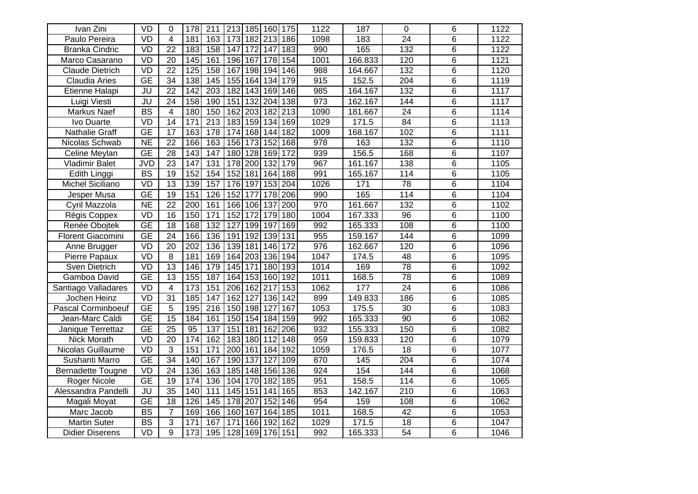| Ivan Zini                 | VD                       | 0               | 178             | 211              | 213              | 185 | 160              | $\overline{175}$ | 1122             | 187     | $\overline{0}$   | 6              | 1122 |
|---------------------------|--------------------------|-----------------|-----------------|------------------|------------------|-----|------------------|------------------|------------------|---------|------------------|----------------|------|
| Paulo Pereira             | VD                       | $\overline{4}$  | 181             | 163              | 173              | 182 | 213              | 186              | 1098             | 183     | $\overline{24}$  | $\overline{6}$ | 1122 |
| <b>Branka Cindric</b>     | VD                       | $\overline{22}$ | 183             | 158              | 147              | 172 | $\overline{147}$ | 183              | 990              | 165     | 132              | $\overline{6}$ | 1122 |
| Marco Casarano            | VD                       | $\overline{20}$ | 145             | 161              | 196              | 167 | 178              | 154              | 1001             | 166.833 | 120              | $\overline{6}$ | 1121 |
| <b>Claude Dietrich</b>    | VD                       | $\overline{22}$ | 125             | 158              | 167              | 198 | 194              | 146              | 988              | 164.667 | 132              | 6              | 1120 |
| <b>Claudia Aries</b>      | <b>GE</b>                | $\overline{34}$ | 138             | 145              | 155              | 164 | 134              | 179              | $\overline{915}$ | 152.5   | $\overline{204}$ | $\overline{6}$ | 1119 |
| Etienne Halapi            | JU                       | $\overline{22}$ | 142             | $\overline{203}$ | 182              | 143 | 169              | 146              | 985              | 164.167 | 132              | $\overline{6}$ | 1117 |
| Luigi Viesti              | JU                       | 24              | 158             | 190              | 151              | 132 | 204              | 138              | 973              | 162.167 | 144              | $\overline{6}$ | 1117 |
| Markus Naef               | <b>BS</b>                | $\overline{4}$  | 180             | 150              | 162              | 203 | 182              | 213              | 1090             | 181.667 | $\overline{24}$  | $\overline{6}$ | 1114 |
| Ivo Duarte                | $\overline{VD}$          | 14              | 171             | $\overline{213}$ | 183              | 159 | 134              | 169              | 1029             | 171.5   | 84               | $\overline{6}$ | 1113 |
| <b>Nathalie Graff</b>     | <b>GE</b>                | $\overline{17}$ | 163             | 178              | 174              | 168 | 144              | 182              | 1009             | 168.167 | 102              | $\overline{6}$ | 1111 |
| Nicolas Schwab            | <b>NE</b>                | $\overline{22}$ | 166             | 163              | 156              | 173 | 152              | 168              | $\overline{978}$ | 163     | 132              | 6              | 1110 |
| Celine Meylan             | $\overline{GE}$          | $\overline{28}$ | 143             | 147              | 180              | 128 | 169              | 172              | 939              | 156.5   | 168              | 6              | 1107 |
| <b>Vladimir Balet</b>     | <b>JVD</b>               | 23              | 147             | 131              | 178              | 200 | 132              | 179              | 967              | 161.167 | 138              | 6              | 1105 |
| Edith Linggi              | $\overline{BS}$          | 19              | 152             | 154              | 152              | 181 | 164              | 188              | 991              | 165.167 | 114              | $\overline{6}$ | 1105 |
| <b>Michel Siciliano</b>   | VD                       | 13              | 139             | 157              | 176              | 197 | 153              | 204              | 1026             | 171     | 78               | $\overline{6}$ | 1104 |
| Jesper Musa               | $\overline{GE}$          | 19              | 151             | 126              | 152              | 177 | 178              | 206              | 990              | 165     | 114              | $\overline{6}$ | 1104 |
| Cyril Mazzola             | $\overline{\text{NE}}$   | $\overline{22}$ | 200             | 161              | 166              | 106 | 137              | 200              | 970              | 161.667 | 132              | $\overline{6}$ | 1102 |
| Régis Coppex              | VD                       | $\overline{16}$ | 150             | 171              | 152              | 172 | 179              | 180              | 1004             | 167.333 | $\overline{96}$  | $\overline{6}$ | 1100 |
| Renée Obojtek             | $\overline{\mathsf{GE}}$ | $\overline{18}$ | 168             | 132              | 127              | 199 | 197              | 169              | 992              | 165.333 | 108              | $\overline{6}$ | 1100 |
| <b>Florent Giacomini</b>  | $\overline{GE}$          | $\overline{24}$ | 166             | 136              | 191              | 192 | 139              | 131              | 955              | 159.167 | 144              | $\overline{6}$ | 1099 |
| Anne Brugger              | VD                       | 20              | 202             | 136              | 139              | 181 | 146              | $\overline{172}$ | 976              | 162.667 | 120              | $\overline{6}$ | 1096 |
| Pierre Papaux             | VD                       | $\overline{8}$  | 181             | 169              | 164              | 203 | 136              | 194              | 1047             | 174.5   | 48               | $\overline{6}$ | 1095 |
| Sven Dietrich             | VD                       | 13              | 146             | 179              | 145              | 171 | 180              | 193              | 1014             | 169     | 78               | $\overline{6}$ | 1092 |
| Gamboa David              | $\overline{GE}$          | 13              | 155             | 187              | 164              | 153 | 160              | 192              | 1011             | 168.5   | 78               | 6              | 1089 |
| Santiago Valladares       | VD                       | $\overline{4}$  | 173             | 151              | 206              | 162 | 217              | 153              | 1062             | 177     | $\overline{24}$  | $\overline{6}$ | 1086 |
| Jochen Heinz              | VD                       | $\overline{31}$ | 185             | $\overline{147}$ | 162              | 127 | 136              | 142              | 899              | 149.833 | 186              | 6              | 1085 |
| <b>Pascal Corminboeuf</b> | <b>GE</b>                | $\overline{5}$  | 195             | $\overline{216}$ | 150              | 198 | 127              | 167              | 1053             | 175.5   | $\overline{30}$  | $\overline{6}$ | 1083 |
| Jean-Marc Caldi           | $\overline{\mathsf{GE}}$ | $\overline{15}$ | 184             | 161              | 150              | 154 | 184              | 159              | 992              | 165.333 | 90               | 6              | 1082 |
| Janique Terrettaz         | $\overline{\mathsf{GE}}$ | $\overline{25}$ | $\overline{95}$ | 137              | 151              | 181 | 162              | 206              | 932              | 155.333 | 150              | $\overline{6}$ | 1082 |
| Nick Morath               | VD                       | $\overline{20}$ | 174             | 162              | 183              | 180 | 112              | 148              | 959              | 159.833 | 120              | $\overline{6}$ | 1079 |
| Nicolas Guillaume         | VD                       | $\overline{3}$  | 151             | 171              | $\overline{200}$ | 161 | 184              | 192              | 1059             | 176.5   | $\overline{18}$  | $\overline{6}$ | 1077 |
| Sushanti Marro            | <b>GE</b>                | $\overline{34}$ | 140             | 167              | 190              | 137 | 127              | 109              | 870              | 145     | 204              | $\overline{6}$ | 1074 |
| Bernadette Tougne         | VD                       | $\overline{24}$ | 136             | 163              | 185              | 148 | 156              | 136              | 924              | 154     | 144              | $\overline{6}$ | 1068 |
| Roger Nicole              | $\overline{GE}$          | 19              | 174             | 136              | 104              | 170 | 182              | 185              | 951              | 158.5   | 114              | 6              | 1065 |
| Alessandra Pandelli       | JU                       | 35              | 140             | 111              | 145              | 151 | 141              | 165              | 853              | 142.167 | $\overline{210}$ | $\overline{6}$ | 1063 |
| Magali Moyat              | $\overline{\mathsf{GE}}$ | $\overline{18}$ | 126             | 145              | 178              | 207 | 152              | 146              | 954              | 159     | 108              | $\overline{6}$ | 1062 |
| Marc Jacob                | $\overline{BS}$          | $\overline{7}$  | 169             | 166              | 160              | 167 | 164              | 185              | 1011             | 168.5   | 42               | $\overline{6}$ | 1053 |
| <b>Martin Suter</b>       | $\overline{BS}$          | 3               | 171             | 167              | 171              | 166 | 192              | 162              | 1029             | 171.5   | $\overline{18}$  | $\overline{6}$ | 1047 |
| <b>Didier Diserens</b>    | $\overline{VD}$          | $\overline{9}$  | 173             | 195              | 128              | 169 | 176              | 151              | 992              | 165.333 | 54               | $\overline{6}$ | 1046 |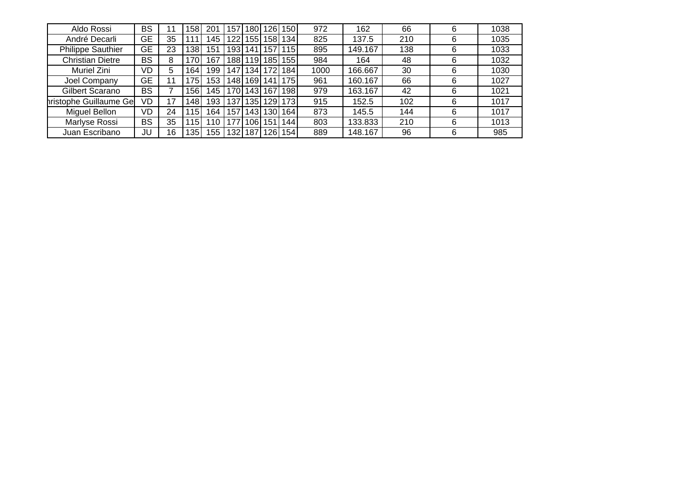| Aldo Rossi               | <b>BS</b> |    | 58  | 201 | 57ء | 180   | 26               | 150  | 972  | 162     | 66  | 6 | 1038 |
|--------------------------|-----------|----|-----|-----|-----|-------|------------------|------|------|---------|-----|---|------|
| André Decarli            | GE        | 35 |     | 45  | 122 | 155   | 1581             | 134  | 825  | 137.5   | 210 | 6 | 1035 |
| <b>Philippe Sauthier</b> | GE        | 23 | 38  | 151 | 193 | 141   | 157              | 115  | 895  | 149.167 | 138 | 6 | 1033 |
| <b>Christian Dietre</b>  | <b>BS</b> | 8  | 70  | 167 | 188 | 19    | 185              | 155  | 984  | 164     | 48  | 6 | 1032 |
| Muriel Zini              | VD        | 5  | 164 | 199 | 147 | 134   | 72               | 184  | 1000 | 166.667 | 30  | 6 | 1030 |
| Joel Company             | GE        | -1 | 75  | 153 | 148 | 169   | 41               | 175  | 961  | 160.167 | 66  | 6 | 1027 |
| Gilbert Scarano          | <b>BS</b> |    | 56  | 45  | 170 | 143   | 167              | 198  | 979  | 163.167 | 42  | 6 | 1021 |
| hristophe Guillaume Ge   | VD        | 17 | 148 | 193 | 137 | 135   | 1291             | 173  | 915  | 152.5   | 102 | 6 | 1017 |
| Miguel Bellon            | VD        | 24 | 15  | 164 | 157 | 143 I | '30I             | 164  | 873  | 145.5   | 144 | 6 | 1017 |
| Marlyse Rossi            | <b>BS</b> | 35 | 15  | 10  |     | 106   | 151              | 144. | 803  | 133.833 | 210 | 6 | 1013 |
| Juan Escribano           | JU        | 16 | 35  | 155 | 32  | 187   | 126 <sub>1</sub> | 154  | 889  | 148.167 | 96  | 6 | 985  |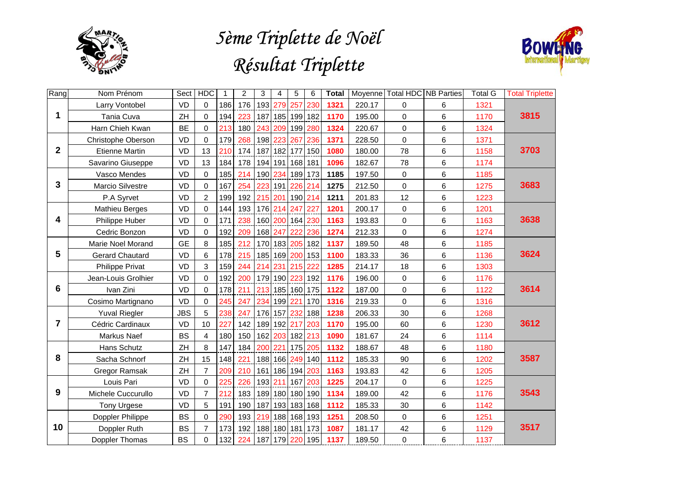

## *5ème Triplette de Noël Résultat Triplette*



| Rang                    | Nom Prénom             | Sect       | <b>HDC</b>     | 1   | 2   | 3   | 4       | 5               | 6       | <b>Total</b> |        | Moyenne Total HDC NB Parties |                | <b>Total G</b> | <b>Total Triplette</b> |
|-------------------------|------------------------|------------|----------------|-----|-----|-----|---------|-----------------|---------|--------------|--------|------------------------------|----------------|----------------|------------------------|
|                         | Larry Vontobel         | <b>VD</b>  | 0              | 186 | 176 |     |         | 193 279 257 230 |         | 1321         | 220.17 | 0                            | 6              | 1321           |                        |
| 1                       | Tania Cuva             | ZH         | $\Omega$       | 194 | 223 |     |         | 187 185 199 182 |         | 1170         | 195.00 | $\mathbf 0$                  | 6              | 1170           | 3815                   |
|                         | Harn Chieh Kwan        | <b>BE</b>  | $\Omega$       | 213 | 180 | 243 | 209     | 199 280         |         | 1324         | 220.67 | $\mathsf 0$                  | 6              | 1324           |                        |
|                         | Christophe Oberson     | <b>VD</b>  | $\overline{0}$ | 179 | 268 | 198 | 223     | 267             | 236     | 1371         | 228.50 | $\Omega$                     | $6\phantom{1}$ | 1371           |                        |
| $\mathbf 2$             | <b>Etienne Martin</b>  | VD         | 13             | 210 | 174 |     | 187 182 | 177 150         |         | 1080         | 180.00 | 78                           | $6\phantom{1}$ | 1158           | 3703                   |
|                         | Savarino Giuseppe      | <b>VD</b>  | 13             | 184 | 178 |     |         | 194 191 168 181 |         | 1096         | 182.67 | 78                           | 6              | 1174           |                        |
|                         | Vasco Mendes           | VD         | $\Omega$       | 185 | 214 | 190 |         | 234 189 173     |         | 1185         | 197.50 | 0                            | $\,6$          | 1185           |                        |
| $\overline{\mathbf{3}}$ | Marcio Silvestre       | VD         | 0              | 167 | 254 |     |         | 223 191 226 214 |         | 1275         | 212.50 | $\mathbf 0$                  | 6              | 1275           | 3683                   |
|                         | P.A Syrvet             | <b>VD</b>  | $\overline{2}$ | 199 | 192 |     | 215 201 |                 | 190 214 | 1211         | 201.83 | 12                           | $6\phantom{1}$ | 1223           |                        |
|                         | <b>Mathieu Berges</b>  | <b>VD</b>  | $\Omega$       | 144 | 193 |     |         | 176 214 247 227 |         | 1201         | 200.17 | $\mathbf 0$                  | $\,6$          | 1201           |                        |
| 4                       | Philippe Huber         | VD         | $\Omega$       | 171 | 238 | 160 |         | 200 164 230     |         | 1163         | 193.83 | $\mathbf 0$                  | 6              | 1163           | 3638                   |
|                         | Cedric Bonzon          | <b>VD</b>  | 0              | 192 | 209 | 168 | 247     | 222             | 236     | 1274         | 212.33 | $\mathbf 0$                  | 6              | 1274           |                        |
|                         | Marie Noel Morand      | <b>GE</b>  | 8              | 185 | 212 |     |         | 170 183 205 182 |         | 1137         | 189.50 | 48                           | 6              | 1185           |                        |
| 5                       | <b>Gerard Chautard</b> | <b>VD</b>  | 6              | 178 | 215 |     | 185 169 |                 | 200 153 | 1100         | 183.33 | 36                           | $\,6$          | 1136           | 3624                   |
|                         | <b>Philippe Privat</b> | VD         | 3              | 159 | 244 | 214 | 231     | 215 222         |         | 1285         | 214.17 | 18                           | 6              | 1303           |                        |
|                         | Jean-Louis Grolhier    | VD         | $\overline{0}$ | 192 | 200 |     |         | 179 190 223 192 |         | 1176         | 196.00 | $\mathbf 0$                  | 6              | 1176           |                        |
| $6\phantom{1}$          | Ivan Zini              | <b>VD</b>  | 0              | 178 | 211 |     |         | 213 185 160 175 |         | 1122         | 187.00 | 0                            | 6              | 1122           | 3614                   |
|                         | Cosimo Martignano      | <b>VD</b>  | $\overline{0}$ | 245 | 247 |     | 234 199 | 221             | 170     | 1316         | 219.33 | $\Omega$                     | $6\phantom{1}$ | 1316           |                        |
|                         | <b>Yuval Riegler</b>   | <b>JBS</b> | 5              | 238 | 247 | 176 | 157     |                 | 232 188 | 1238         | 206.33 | 30                           | $\,6$          | 1268           |                        |
| 7                       | Cédric Cardinaux       | VD         | 10             | 227 | 142 |     | 189 192 | 217             | 203     | 1170         | 195.00 | 60                           | 6              | 1230           | 3612                   |
|                         | Markus Naef            | <b>BS</b>  | $\overline{4}$ | 180 | 150 | 162 | 203     | 182 213         |         | 1090         | 181.67 | 24                           | 6              | 1114           |                        |
|                         | Hans Schutz            | ZH         | 8              | 147 | 184 | 200 | 221     |                 | 175 205 | 1132         | 188.67 | 48                           | 6              | 1180           |                        |
| 8                       | Sacha Schnorf          | ZH         | 15             | 148 | 221 |     | 188 166 |                 | 249 140 | 1112         | 185.33 | 90                           | $6\phantom{1}$ | 1202           | 3587                   |
|                         | <b>Gregor Ramsak</b>   | ZH         | $\overline{7}$ | 209 | 210 | 161 | 186     | 194             | 203     | 1163         | 193.83 | 42                           | 6              | 1205           |                        |
|                         | Louis Pari             | <b>VD</b>  | 0              | 225 | 226 | 193 | 211     |                 | 167 203 | 1225         | 204.17 | $\mathbf 0$                  | 6              | 1225           |                        |
| 9                       | Michele Cuccurullo     | VD         | $\overline{7}$ | 212 | 183 |     |         | 189 180 180 190 |         | 1134         | 189.00 | 42                           | 6              | 1176           | 3543                   |
|                         | <b>Tony Urgese</b>     | <b>VD</b>  | 5              | 191 | 190 | 187 |         | 193 183 168     |         | 1112         | 185.33 | 30                           | $\,6$          | 1142           |                        |
|                         | Doppler Philippe       | <b>BS</b>  | $\overline{0}$ | 290 | 193 |     |         | 219 188 168 193 |         | 1251         | 208.50 | 0                            | $\,6$          | 1251           |                        |
| 10                      | Doppler Ruth           | <b>BS</b>  | $\overline{7}$ | 173 | 192 |     |         | 188 180 181 173 |         | 1087         | 181.17 | 42                           | 6              | 1129           | 3517                   |
|                         | Doppler Thomas         | <b>BS</b>  | $\Omega$       | 132 | 224 |     |         | 187 179 220 195 |         | 1137         | 189.50 | $\mathbf 0$                  | 6              | 1137           |                        |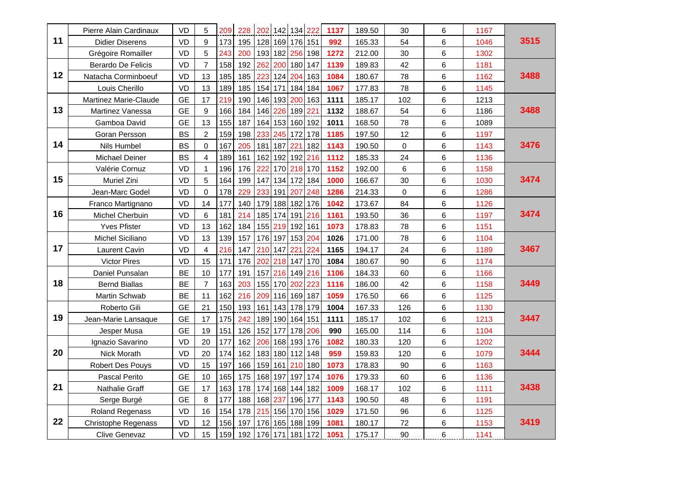|    | Pierre Alain Cardinaux       | VD        | 5              | 209 | 228 | 202 |     | 142 134 222     |             | 1137 | 189.50 | 30          | 6 | 1167 |      |
|----|------------------------------|-----------|----------------|-----|-----|-----|-----|-----------------|-------------|------|--------|-------------|---|------|------|
| 11 | <b>Didier Diserens</b>       | <b>VD</b> | 9              | 173 | 195 | 128 |     | 169 176 151     |             | 992  | 165.33 | 54          | 6 | 1046 | 3515 |
|    | Grégoire Romailler           | <b>VD</b> | 5              | 243 | 200 | 193 | 182 |                 | 256 198     | 1272 | 212.00 | 30          | 6 | 1302 |      |
|    | Berardo De Felicis           | <b>VD</b> | $\overline{7}$ | 158 | 192 | 262 |     | 200 180 147     |             | 1139 | 189.83 | 42          | 6 | 1181 |      |
| 12 | Natacha Corminboeuf          | <b>VD</b> | 13             | 185 | 185 | 223 | 124 |                 | 204 163     | 1084 | 180.67 | 78          | 6 | 1162 | 3488 |
|    | Louis Cherillo               | VD        | 13             | 189 | 185 | 154 | 171 | 184             | 184         | 1067 | 177.83 | 78          | 6 | 1145 |      |
|    | <b>Martinez Marie-Claude</b> | <b>GE</b> | 17             | 219 | 190 | 146 | 193 |                 | 200 163     | 1111 | 185.17 | 102         | 6 | 1213 |      |
| 13 | Martinez Vanessa             | <b>GE</b> | 9              | 166 | 184 | 146 |     | 226 189 221     |             | 1132 | 188.67 | 54          | 6 | 1186 | 3488 |
|    | Gamboa David                 | GE        | 13             | 155 | 187 | 164 |     | 153 160 192     |             | 1011 | 168.50 | 78          | 6 | 1089 |      |
|    | Goran Persson                | <b>BS</b> | $\overline{2}$ | 159 | 198 | 233 | 245 |                 | 172 178     | 1185 | 197.50 | 12          | 6 | 1197 |      |
| 14 | Nils Humbel                  | <b>BS</b> | $\Omega$       | 167 | 205 | 181 | 187 | 22'             | 182         | 1143 | 190.50 | $\Omega$    | 6 | 1143 | 3476 |
|    | Michael Deiner               | <b>BS</b> | 4              | 189 | 161 | 162 | 192 |                 | 192 216     | 1112 | 185.33 | 24          | 6 | 1136 |      |
|    | Valérie Cornuz               | VD        | $\mathbf{1}$   | 196 | 176 | 222 | 170 |                 | 218 170     | 1152 | 192.00 | 6           | 6 | 1158 |      |
| 15 | Muriel Zini                  | <b>VD</b> | 5              | 164 | 199 | 147 |     |                 | 134 172 184 | 1000 | 166.67 | 30          | 6 | 1030 | 3474 |
|    | Jean-Marc Godel              | <b>VD</b> | $\Omega$       | 178 | 229 | 233 | 191 | 207             | 248         | 1286 | 214.33 | $\mathbf 0$ | 6 | 1286 |      |
|    | Franco Martignano            | VD        | 14             | 177 | 140 | 179 |     | 188 182 176     |             | 1042 | 173.67 | 84          | 6 | 1126 |      |
| 16 | Michel Cherbuin              | VD        | 6              | 181 | 214 | 185 | 174 |                 | 191 216     | 1161 | 193.50 | 36          | 6 | 1197 | 3474 |
|    | <b>Yves Pfister</b>          | VD        | 13             | 162 | 184 | 155 | 219 |                 | 192 161     | 1073 | 178.83 | 78          | 6 | 1151 |      |
|    | Michel Siciliano             | VD        | 13             | 139 | 157 | 176 |     | 197 153 204     |             | 1026 | 171.00 | 78          | 6 | 1104 |      |
| 17 | Laurent Cavin                | VD        | $\overline{4}$ | 216 | 147 | 210 | 147 | 221             | 224         | 1165 | 194.17 | 24          | 6 | 1189 | 3467 |
|    | <b>Victor Pires</b>          | VD        | 15             | 171 | 176 | 202 | 218 |                 | 147 170     | 1084 | 180.67 | 90          | 6 | 1174 |      |
|    | Daniel Punsalan              | <b>BE</b> | 10             | 177 | 191 | 157 |     |                 | 216 149 216 | 1106 | 184.33 | 60          | 6 | 1166 |      |
| 18 | <b>Bernd Biallas</b>         | BE        | $\overline{7}$ | 163 | 203 | 155 |     | 170 202 223     |             | 1116 | 186.00 | 42          | 6 | 1158 | 3449 |
|    | Martin Schwab                | <b>BE</b> | 11             | 162 | 216 | 209 |     | 116 169 187     |             | 1059 | 176.50 | 66          | 6 | 1125 |      |
|    | Roberto Gili                 | <b>GE</b> | 21             | 150 | 193 | 161 |     | 143 178 179     |             | 1004 | 167.33 | 126         | 6 | 1130 |      |
| 19 | Jean-Marie Lansaque          | <b>GE</b> | 17             | 175 | 242 | 189 |     | 190 164 151     |             | 1111 | 185.17 | 102         | 6 | 1213 | 3447 |
|    | Jesper Musa                  | <b>GE</b> | 19             | 151 | 126 | 152 | 177 | 178             | 206         | 990  | 165.00 | 114         | 6 | 1104 |      |
|    | Ignazio Savarino             | <b>VD</b> | 20             | 177 | 162 | 206 | 168 |                 | 193 176     | 1082 | 180.33 | 120         | 6 | 1202 |      |
| 20 | Nick Morath                  | <b>VD</b> | 20             | 174 | 162 | 183 |     | 180 112 148     |             | 959  | 159.83 | 120         | 6 | 1079 | 3444 |
|    | Robert Des Pouys             | VD        | 15             | 197 | 166 | 159 | 161 | 210             | 180         | 1073 | 178.83 | 90          | 6 | 1163 |      |
|    | Pascal Perito                | <b>GE</b> | 10             | 165 | 175 | 168 | 197 |                 | 197 174     | 1076 | 179.33 | 60          | 6 | 1136 |      |
| 21 | Nathalie Graff               | <b>GE</b> | 17             | 163 | 178 | 174 |     | 168 144         | 182         | 1009 | 168.17 | 102         | 6 | 1111 | 3438 |
|    | Serge Burgé                  | GE        | 8              | 177 | 188 | 168 | 237 |                 | 196 177     | 1143 | 190.50 | 48          | 6 | 1191 |      |
|    | Roland Regenass              | VD        | 16             | 154 | 178 | 215 |     | 156 170 156     |             | 1029 | 171.50 | 96          | 6 | 1125 |      |
| 22 | <b>Christophe Regenass</b>   | VD        | 12             | 156 | 197 | 176 |     |                 | 165 188 199 | 1081 | 180.17 | 72          | 6 | 1153 | 3419 |
|    | <b>Clive Genevaz</b>         | VD        | 15             | 159 | 192 |     |     | 176 171 181 172 |             | 1051 | 175.17 | 90          | 6 | 1141 |      |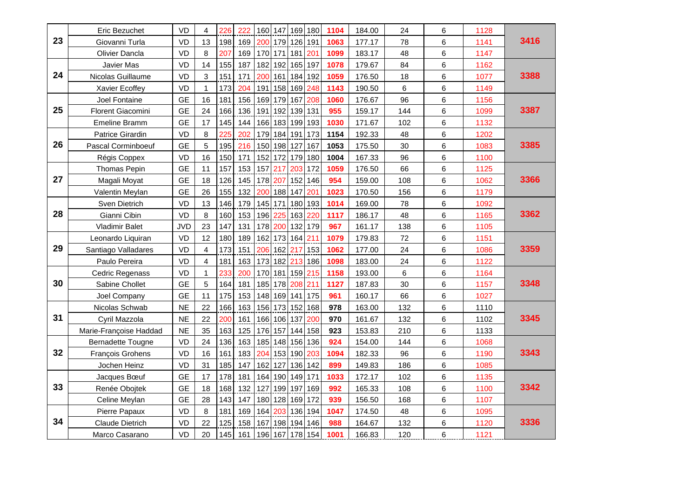|    | Eric Bezuchet            | <b>VD</b>  | 4              | 226 | 222 | 160 |     | 147 169         | 180 | 1104 | 184.00 | 24  | 6     | 1128 |      |
|----|--------------------------|------------|----------------|-----|-----|-----|-----|-----------------|-----|------|--------|-----|-------|------|------|
| 23 | Giovanni Turla           | <b>VD</b>  | 13             | 198 | 169 |     |     | 200 179 126 191 |     | 1063 | 177.17 | 78  | 6     | 1141 | 3416 |
|    | Olivier Dancla           | <b>VD</b>  | 8              | 207 | 169 | 170 | 171 | 181             | 201 | 1099 | 183.17 | 48  | $\,6$ | 1147 |      |
|    | Javier Mas               | VD         | 14             | 155 | 187 | 182 | 192 | 165 197         |     | 1078 | 179.67 | 84  | $\,6$ | 1162 |      |
| 24 | Nicolas Guillaume        | <b>VD</b>  | 3              | 151 | 171 | 200 | 161 | 184 192         |     | 1059 | 176.50 | 18  | 6     | 1077 | 3388 |
|    | Xavier Ecoffey           | VD         | $\mathbf{1}$   | 173 | 204 | 191 | 158 | 169             | 248 | 1143 | 190.50 | 6   | 6     | 1149 |      |
|    | Joel Fontaine            | <b>GE</b>  | 16             | 181 | 156 | 169 |     | 179 167         | 208 | 1060 | 176.67 | 96  | 6     | 1156 |      |
| 25 | <b>Florent Giacomini</b> | <b>GE</b>  | 24             | 166 | 136 | 191 |     | 192 139         | 131 | 955  | 159.17 | 144 | 6     | 1099 | 3387 |
|    | <b>Emeline Bramm</b>     | <b>GE</b>  | 17             | 145 | 144 | 166 |     | 183 199 193     |     | 1030 | 171.67 | 102 | 6     | 1132 |      |
|    | Patrice Girardin         | <b>VD</b>  | 8              | 225 | 202 | 179 |     | 184 191 173     |     | 1154 | 192.33 | 48  | 6     | 1202 |      |
| 26 | Pascal Corminboeuf       | GE         | 5              | 195 | 216 | 150 |     | 198 127         | 167 | 1053 | 175.50 | 30  | 6     | 1083 | 3385 |
|    | Régis Coppex             | <b>VD</b>  | 16             | 150 | 171 | 152 |     | 172 179 180     |     | 1004 | 167.33 | 96  | 6     | 1100 |      |
|    | Thomas Pepin             | <b>GE</b>  | 11             | 157 | 153 | 157 | 217 | 203             | 172 | 1059 | 176.50 | 66  | 6     | 1125 |      |
| 27 | Magali Moyat             | <b>GE</b>  | 18             | 126 | 145 | 178 | 207 | 152             | 146 | 954  | 159.00 | 108 | 6     | 1062 | 3366 |
|    | Valentin Meylan          | <b>GE</b>  | 26             | 155 | 132 | 200 |     | 188 147         | 201 | 1023 | 170.50 | 156 | 6     | 1179 |      |
|    | Sven Dietrich            | <b>VD</b>  | 13             | 146 | 179 | 145 | 171 | 180 193         |     | 1014 | 169.00 | 78  | $\,6$ | 1092 |      |
| 28 | Gianni Cibin             | <b>VD</b>  | 8              | 160 | 153 | 196 | 225 | 163 220         |     | 1117 | 186.17 | 48  | 6     | 1165 | 3362 |
|    | Vladimir Balet           | <b>JVD</b> | 23             | 147 | 131 | 178 | 200 | 132 179         |     | 967  | 161.17 | 138 | 6     | 1105 |      |
|    | Leonardo Liquiran        | <b>VD</b>  | 12             | 180 | 189 | 162 |     | 173 164         | 211 | 1079 | 179.83 | 72  | 6     | 1151 |      |
| 29 | Santiago Valladares      | <b>VD</b>  | 4              | 173 | 151 | 206 | 162 | 217             | 153 | 1062 | 177.00 | 24  | 6     | 1086 | 3359 |
|    | Paulo Pereira            | <b>VD</b>  | $\overline{4}$ | 181 | 163 | 173 |     | 182 213         | 186 | 1098 | 183.00 | 24  | 6     | 1122 |      |
|    | Cedric Regenass          | <b>VD</b>  | $\mathbf{1}$   | 233 | 200 | 170 |     | 181 159 215     |     | 1158 | 193.00 | 6   | 6     | 1164 |      |
| 30 | Sabine Chollet           | <b>GE</b>  | 5              | 164 | 181 | 185 |     | 178 208 211     |     | 1127 | 187.83 | 30  | 6     | 1157 | 3348 |
|    | Joel Company             | <b>GE</b>  | 11             | 175 | 153 | 148 |     | 169 141         | 175 | 961  | 160.17 | 66  | 6     | 1027 |      |
|    | Nicolas Schwab           | <b>NE</b>  | 22             | 166 | 163 | 156 |     | 173 152         | 168 | 978  | 163.00 | 132 | 6     | 1110 |      |
| 31 | Cyril Mazzola            | <b>NE</b>  | 22             | 200 | 161 | 166 |     | 106 137         | 200 | 970  | 161.67 | 132 | 6     | 1102 | 3345 |
|    | Marie-Françoise Haddad   | $NE$       | 35             | 163 | 125 | 176 |     | 157 144 158     |     | 923  | 153.83 | 210 | 6     | 1133 |      |
|    | <b>Bernadette Tougne</b> | <b>VD</b>  | 24             | 136 | 163 | 185 |     | 148 156 136     |     | 924  | 154.00 | 144 | 6     | 1068 |      |
| 32 | François Grohens         | <b>VD</b>  | 16             | 161 | 183 | 204 |     | 153 190 203     |     | 1094 | 182.33 | 96  | $\,6$ | 1190 | 3343 |
|    | Jochen Heinz             | <b>VD</b>  | 31             | 185 | 147 | 162 | 127 | 136             | 142 | 899  | 149.83 | 186 | 6     | 1085 |      |
|    | Jacques Bœuf             | <b>GE</b>  | 17             | 178 | 181 | 164 |     | 190 149 171     |     | 1033 | 172.17 | 102 | 6     | 1135 |      |
| 33 | Renée Obojtek            | <b>GE</b>  | 18             | 168 | 132 | 127 |     | 199 197         | 169 | 992  | 165.33 | 108 | 6     | 1100 | 3342 |
|    | Celine Meylan            | <b>GE</b>  | 28             | 143 | 147 | 180 |     | 128 169         | 172 | 939  | 156.50 | 168 | 6     | 1107 |      |
|    | Pierre Papaux            | <b>VD</b>  | 8              | 181 | 169 | 164 |     | 203 136         | 194 | 1047 | 174.50 | 48  | 6     | 1095 |      |
| 34 | Claude Dietrich          | VD         | 22             | 125 | 158 | 167 |     | 198 194         | 146 | 988  | 164.67 | 132 | 6     | 1120 | 3336 |
|    | Marco Casarano           | VD         | 20             | 145 | 161 |     |     | 196 167 178 154 |     | 1001 | 166.83 | 120 | 6     | 1121 |      |